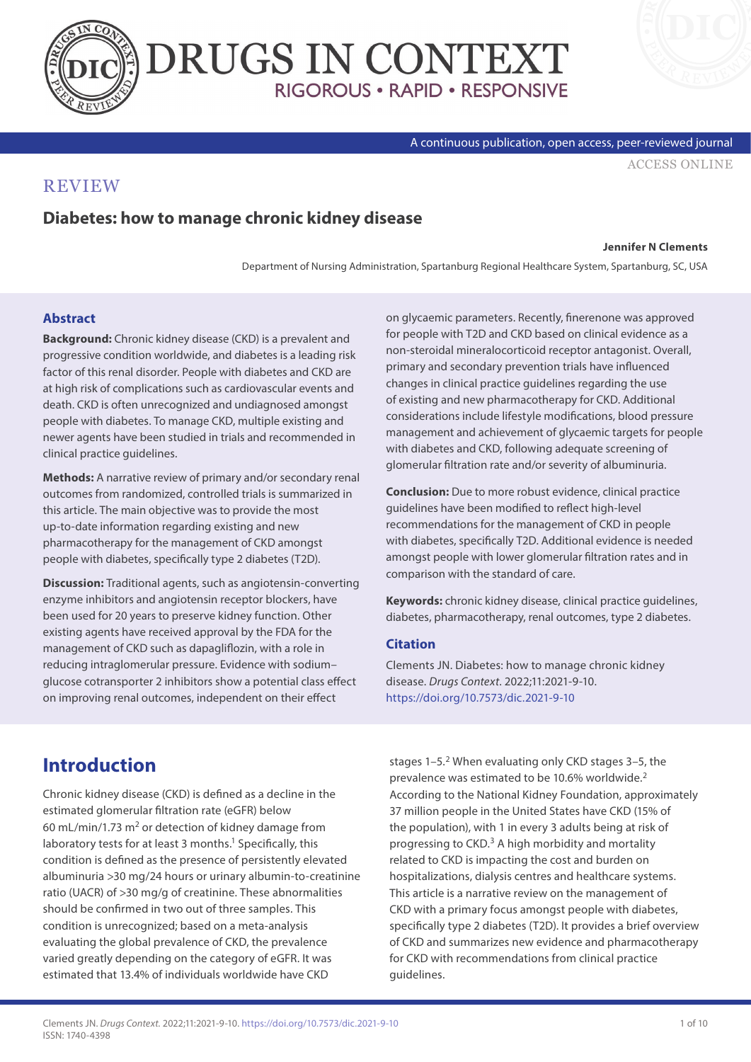



#### A continuous publication, open access, peer-reviewed journal

[ACCESS ONLINE](https://www.drugsincontext.com/diabetes-how-to-manage-chronic-kidney-disease)

#### **REVIEW**

#### **Diabetes: how to manage chronic kidney disease**

#### **Jennifer N Clements**

Department of Nursing Administration, Spartanburg Regional Healthcare System, Spartanburg, SC, USA

#### **Abstract**

**Background:** Chronic kidney disease (CKD) is a prevalent and progressive condition worldwide, and diabetes is a leading risk factor of this renal disorder. People with diabetes and CKD are at high risk of complications such as cardiovascular events and death. CKD is often unrecognized and undiagnosed amongst people with diabetes. To manage CKD, multiple existing and newer agents have been studied in trials and recommended in clinical practice guidelines.

**Methods:** A narrative review of primary and/or secondary renal outcomes from randomized, controlled trials is summarized in this article. The main objective was to provide the most up-to-date information regarding existing and new pharmacotherapy for the management of CKD amongst people with diabetes, specifically type 2 diabetes (T2D).

**Discussion:** Traditional agents, such as angiotensin-converting enzyme inhibitors and angiotensin receptor blockers, have been used for 20 years to preserve kidney function. Other existing agents have received approval by the FDA for the management of CKD such as dapagliflozin, with a role in reducing intraglomerular pressure. Evidence with sodium– glucose cotransporter 2 inhibitors show a potential class effect on improving renal outcomes, independent on their effect

on glycaemic parameters. Recently, finerenone was approved for people with T2D and CKD based on clinical evidence as a non-steroidal mineralocorticoid receptor antagonist. Overall, primary and secondary prevention trials have influenced changes in clinical practice guidelines regarding the use of existing and new pharmacotherapy for CKD. Additional considerations include lifestyle modifications, blood pressure management and achievement of glycaemic targets for people with diabetes and CKD, following adequate screening of glomerular filtration rate and/or severity of albuminuria.

**Conclusion:** Due to more robust evidence, clinical practice guidelines have been modified to reflect high-level recommendations for the management of CKD in people with diabetes, specifically T2D. Additional evidence is needed amongst people with lower glomerular filtration rates and in comparison with the standard of care.

**Keywords:** chronic kidney disease, clinical practice guidelines, diabetes, pharmacotherapy, renal outcomes, type 2 diabetes.

#### **Citation**

Clements JN. Diabetes: how to manage chronic kidney disease. *Drugs Context*. 2022;11:2021-9-10. <https://doi.org/10.7573/dic.2021-9-10>

### **Introduction**

Chronic kidney disease (CKD) is defined as a decline in the estimated glomerular filtration rate (eGFR) below 60 mL/min/1.73  $m<sup>2</sup>$  or detection of kidney damage from laboratory tests for at least 3 months.<sup>1</sup> Specifically, this condition is defined as the presence of persistently elevated albuminuria >30 mg/24 hours or urinary albumin-to-creatinine ratio (UACR) of >30 mg/g of creatinine. These abnormalities should be confirmed in two out of three samples. This condition is unrecognized; based on a meta-analysis evaluating the global prevalence of CKD, the prevalence varied greatly depending on the category of eGFR. It was estimated that 13.4% of individuals worldwide have CKD

stages  $1-5.2$  When evaluating only CKD stages  $3-5$ , the prevalence was estimated to be 10.6% worldwide.2 According to the National Kidney Foundation, approximately 37 million people in the United States have CKD (15% of the population), with 1 in every 3 adults being at risk of progressing to CKD.3 A high morbidity and mortality related to CKD is impacting the cost and burden on hospitalizations, dialysis centres and healthcare systems. This article is a narrative review on the management of CKD with a primary focus amongst people with diabetes, specifically type 2 diabetes (T2D). It provides a brief overview of CKD and summarizes new evidence and pharmacotherapy for CKD with recommendations from clinical practice guidelines.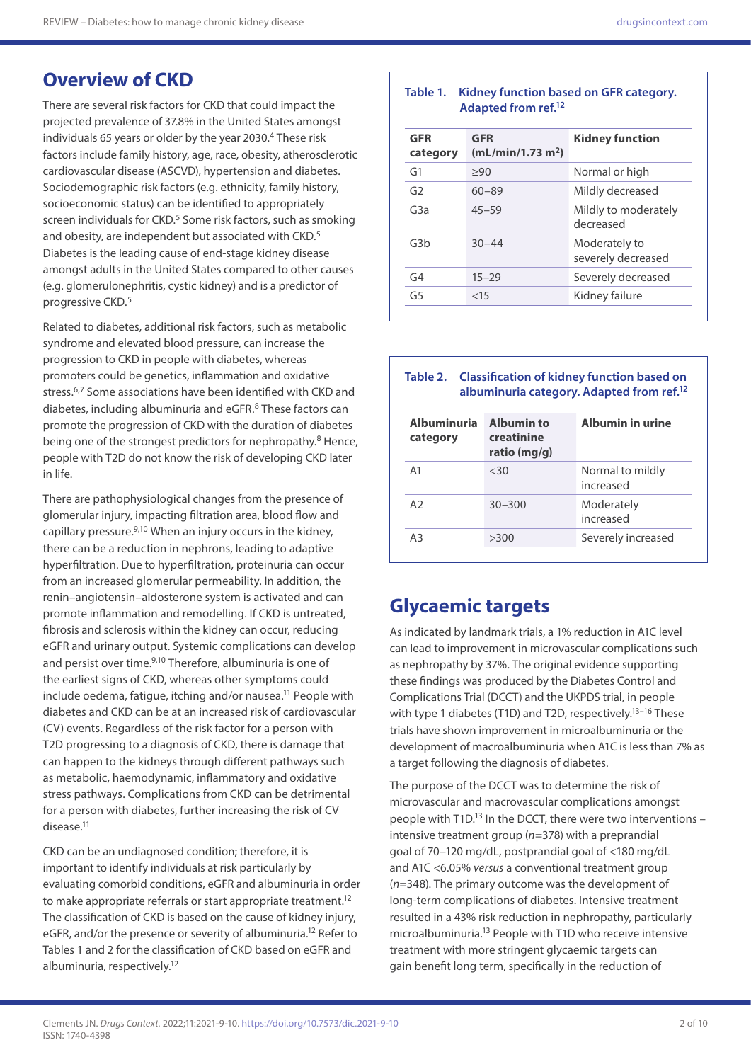severely decreased

# **Overview of CKD**

There are several risk factors for CKD that could impact the projected prevalence of 37.8% in the United States amongst individuals 65 years or older by the year 2030.4 These risk factors include family history, age, race, obesity, atherosclerotic cardiovascular disease (ASCVD), hypertension and diabetes. Sociodemographic risk factors (e.g. ethnicity, family history, socioeconomic status) can be identified to appropriately screen individuals for CKD.<sup>5</sup> Some risk factors, such as smoking and obesity, are independent but associated with CKD.<sup>5</sup> Diabetes is the leading cause of end-stage kidney disease amongst adults in the United States compared to other causes (e.g. glomerulonephritis, cystic kidney) and is a predictor of progressive CKD.5

Related to diabetes, additional risk factors, such as metabolic syndrome and elevated blood pressure, can increase the progression to CKD in people with diabetes, whereas promoters could be genetics, inflammation and oxidative stress.<sup>6,7</sup> Some associations have been identified with CKD and diabetes, including albuminuria and eGFR.8 These factors can promote the progression of CKD with the duration of diabetes being one of the strongest predictors for nephropathy.<sup>8</sup> Hence, people with T2D do not know the risk of developing CKD later in life.

There are pathophysiological changes from the presence of glomerular injury, impacting filtration area, blood flow and capillary pressure.9,10 When an injury occurs in the kidney, there can be a reduction in nephrons, leading to adaptive hyperfiltration. Due to hyperfiltration, proteinuria can occur from an increased glomerular permeability. In addition, the renin–angiotensin–aldosterone system is activated and can promote inflammation and remodelling. If CKD is untreated, fibrosis and sclerosis within the kidney can occur, reducing eGFR and urinary output. Systemic complications can develop and persist over time.<sup>9,10</sup> Therefore, albuminuria is one of the earliest signs of CKD, whereas other symptoms could include oedema, fatigue, itching and/or nausea.<sup>11</sup> People with diabetes and CKD can be at an increased risk of cardiovascular (CV) events. Regardless of the risk factor for a person with T2D progressing to a diagnosis of CKD, there is damage that can happen to the kidneys through different pathways such as metabolic, haemodynamic, inflammatory and oxidative stress pathways. Complications from CKD can be detrimental for a person with diabetes, further increasing the risk of CV disease.<sup>11</sup>

CKD can be an undiagnosed condition; therefore, it is important to identify individuals at risk particularly by evaluating comorbid conditions, eGFR and albuminuria in order to make appropriate referrals or start appropriate treatment.<sup>12</sup> The classification of CKD is based on the cause of kidney injury, eGFR, and/or the presence or severity of albuminuria.<sup>12</sup> Refer to Tables 1 and 2 for the classification of CKD based on eGFR and albuminuria, respectively.12

| Adapted from ref. <sup>12</sup> |                                             |                                   |  |
|---------------------------------|---------------------------------------------|-----------------------------------|--|
| <b>GFR</b><br>category          | <b>GFR</b><br>(mL/min/1.73 m <sup>2</sup> ) | <b>Kidney function</b>            |  |
| G1                              | >90                                         | Normal or high                    |  |
| G <sub>2</sub>                  | $60 - 89$                                   | Mildly decreased                  |  |
| G <sub>3</sub> a                | $45 - 59$                                   | Mildly to moderately<br>decreased |  |

G3b 30–44 Moderately to

G4 15–29 Severely decreased G5 <15 Kidney failure

**Table 1. Kidney function based on GFR category.** 

#### **Table 2. Classification of kidney function based on albuminuria category. Adapted from ref.12**

| <b>Albuminuria</b><br>category | <b>Albumin to</b><br>creatinine<br>ratio (mg/g) | Albumin in urine              |  |
|--------------------------------|-------------------------------------------------|-------------------------------|--|
| A <sub>1</sub>                 | <30                                             | Normal to mildly<br>increased |  |
| A <sub>2</sub>                 | $30 - 300$                                      | Moderately<br>increased       |  |
| АЗ                             | >300                                            | Severely increased            |  |

## **Glycaemic targets**

As indicated by landmark trials, a 1% reduction in A1C level can lead to improvement in microvascular complications such as nephropathy by 37%. The original evidence supporting these findings was produced by the Diabetes Control and Complications Trial (DCCT) and the UKPDS trial, in people with type 1 diabetes (T1D) and T2D, respectively.<sup>13-16</sup> These trials have shown improvement in microalbuminuria or the development of macroalbuminuria when A1C is less than 7% as a target following the diagnosis of diabetes.

The purpose of the DCCT was to determine the risk of microvascular and macrovascular complications amongst people with T1D.<sup>13</sup> In the DCCT, there were two interventions  $$ intensive treatment group (*n*=378) with a preprandial goal of 70–120 mg/dL, postprandial goal of <180 mg/dL and A1C <6.05% *versus* a conventional treatment group (*n*=348). The primary outcome was the development of long-term complications of diabetes. Intensive treatment resulted in a 43% risk reduction in nephropathy, particularly microalbuminuria.13 People with T1D who receive intensive treatment with more stringent glycaemic targets can gain benefit long term, specifically in the reduction of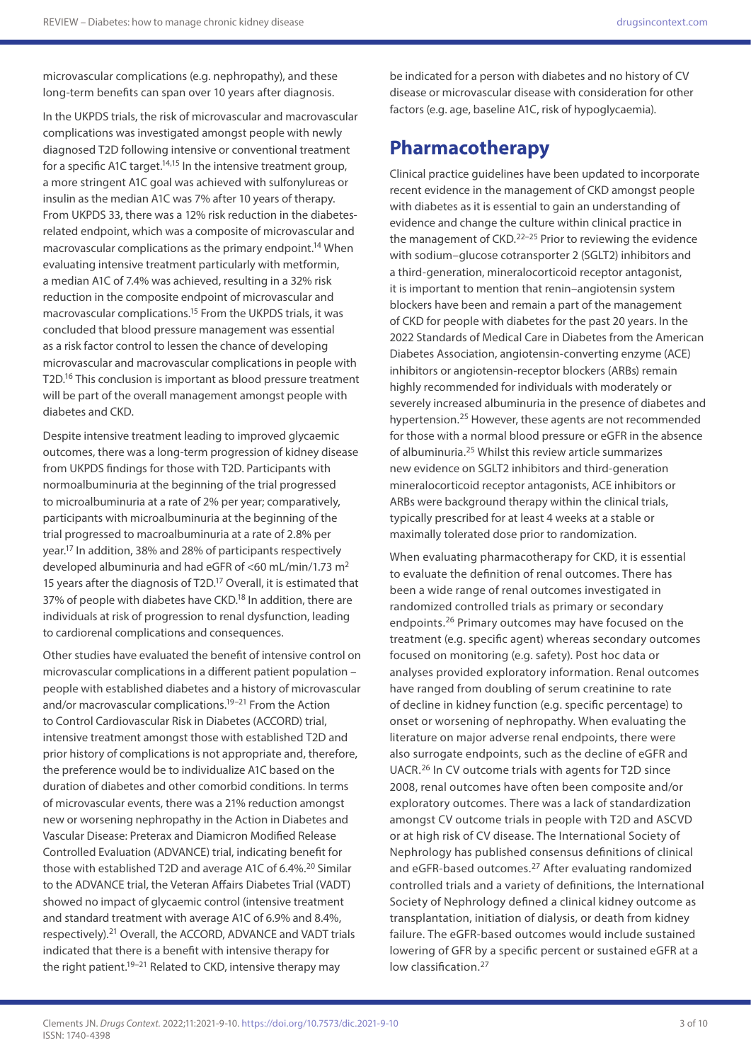microvascular complications (e.g. nephropathy), and these long-term benefits can span over 10 years after diagnosis.

In the UKPDS trials, the risk of microvascular and macrovascular complications was investigated amongst people with newly diagnosed T2D following intensive or conventional treatment for a specific A1C target.<sup>14,15</sup> In the intensive treatment group, a more stringent A1C goal was achieved with sulfonylureas or insulin as the median A1C was 7% after 10 years of therapy. From UKPDS 33, there was a 12% risk reduction in the diabetesrelated endpoint, which was a composite of microvascular and macrovascular complications as the primary endpoint.14 When evaluating intensive treatment particularly with metformin, a median A1C of 7.4% was achieved, resulting in a 32% risk reduction in the composite endpoint of microvascular and macrovascular complications.15 From the UKPDS trials, it was concluded that blood pressure management was essential as a risk factor control to lessen the chance of developing microvascular and macrovascular complications in people with T2D.16 This conclusion is important as blood pressure treatment will be part of the overall management amongst people with diabetes and CKD.

Despite intensive treatment leading to improved glycaemic outcomes, there was a long-term progression of kidney disease from UKPDS findings for those with T2D. Participants with normoalbuminuria at the beginning of the trial progressed to microalbuminuria at a rate of 2% per year; comparatively, participants with microalbuminuria at the beginning of the trial progressed to macroalbuminuria at a rate of 2.8% per year.17 In addition, 38% and 28% of participants respectively developed albuminuria and had eGFR of <60 mL/min/1.73 m<sup>2</sup> 15 years after the diagnosis of T2D.<sup>17</sup> Overall, it is estimated that 37% of people with diabetes have CKD.<sup>18</sup> In addition, there are individuals at risk of progression to renal dysfunction, leading to cardiorenal complications and consequences.

Other studies have evaluated the benefit of intensive control on microvascular complications in a different patient population – people with established diabetes and a history of microvascular and/or macrovascular complications.<sup>19-21</sup> From the Action to Control Cardiovascular Risk in Diabetes (ACCORD) trial, intensive treatment amongst those with established T2D and prior history of complications is not appropriate and, therefore, the preference would be to individualize A1C based on the duration of diabetes and other comorbid conditions. In terms of microvascular events, there was a 21% reduction amongst new or worsening nephropathy in the Action in Diabetes and Vascular Disease: Preterax and Diamicron Modified Release Controlled Evaluation (ADVANCE) trial, indicating benefit for those with established T2D and average A1C of 6.4%.<sup>20</sup> Similar to the ADVANCE trial, the Veteran Affairs Diabetes Trial (VADT) showed no impact of glycaemic control (intensive treatment and standard treatment with average A1C of 6.9% and 8.4%, respectively).21 Overall, the ACCORD, ADVANCE and VADT trials indicated that there is a benefit with intensive therapy for the right patient.<sup>19–21</sup> Related to CKD, intensive therapy may

be indicated for a person with diabetes and no history of CV disease or microvascular disease with consideration for other factors (e.g. age, baseline A1C, risk of hypoglycaemia).

#### **Pharmacotherapy**

Clinical practice guidelines have been updated to incorporate recent evidence in the management of CKD amongst people with diabetes as it is essential to gain an understanding of evidence and change the culture within clinical practice in the management of  $CKD$ .<sup>22-25</sup> Prior to reviewing the evidence with sodium–glucose cotransporter 2 (SGLT2) inhibitors and a third-generation, mineralocorticoid receptor antagonist, it is important to mention that renin–angiotensin system blockers have been and remain a part of the management of CKD for people with diabetes for the past 20 years. In the 2022 Standards of Medical Care in Diabetes from the American Diabetes Association, angiotensin-converting enzyme (ACE) inhibitors or angiotensin-receptor blockers (ARBs) remain highly recommended for individuals with moderately or severely increased albuminuria in the presence of diabetes and hypertension.25 However, these agents are not recommended for those with a normal blood pressure or eGFR in the absence of albuminuria.25 Whilst this review article summarizes new evidence on SGLT2 inhibitors and third-generation mineralocorticoid receptor antagonists, ACE inhibitors or ARBs were background therapy within the clinical trials, typically prescribed for at least 4 weeks at a stable or maximally tolerated dose prior to randomization.

When evaluating pharmacotherapy for CKD, it is essential to evaluate the definition of renal outcomes. There has been a wide range of renal outcomes investigated in randomized controlled trials as primary or secondary endpoints.26 Primary outcomes may have focused on the treatment (e.g. specific agent) whereas secondary outcomes focused on monitoring (e.g. safety). Post hoc data or analyses provided exploratory information. Renal outcomes have ranged from doubling of serum creatinine to rate of decline in kidney function (e.g. specific percentage) to onset or worsening of nephropathy. When evaluating the literature on major adverse renal endpoints, there were also surrogate endpoints, such as the decline of eGFR and UACR.26 In CV outcome trials with agents for T2D since 2008, renal outcomes have often been composite and/or exploratory outcomes. There was a lack of standardization amongst CV outcome trials in people with T2D and ASCVD or at high risk of CV disease. The International Society of Nephrology has published consensus definitions of clinical and eGFR-based outcomes.<sup>27</sup> After evaluating randomized controlled trials and a variety of definitions, the International Society of Nephrology defined a clinical kidney outcome as transplantation, initiation of dialysis, or death from kidney failure. The eGFR-based outcomes would include sustained lowering of GFR by a specific percent or sustained eGFR at a low classification.<sup>27</sup>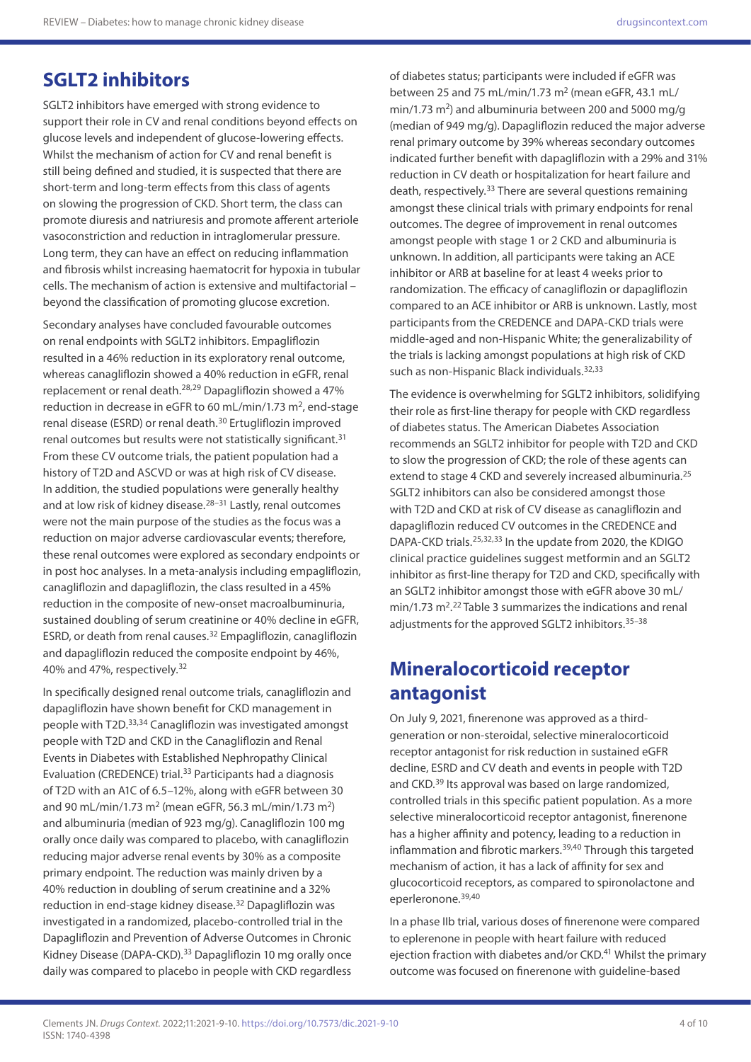## **SGLT2 inhibitors**

SGLT2 inhibitors have emerged with strong evidence to support their role in CV and renal conditions beyond effects on glucose levels and independent of glucose-lowering effects. Whilst the mechanism of action for CV and renal benefit is still being defined and studied, it is suspected that there are short-term and long-term effects from this class of agents on slowing the progression of CKD. Short term, the class can promote diuresis and natriuresis and promote afferent arteriole vasoconstriction and reduction in intraglomerular pressure. Long term, they can have an effect on reducing inflammation and fibrosis whilst increasing haematocrit for hypoxia in tubular cells. The mechanism of action is extensive and multifactorial – beyond the classification of promoting glucose excretion.

Secondary analyses have concluded favourable outcomes on renal endpoints with SGLT2 inhibitors. Empagliflozin resulted in a 46% reduction in its exploratory renal outcome, whereas canagliflozin showed a 40% reduction in eGFR, renal replacement or renal death.28,29 Dapagliflozin showed a 47% reduction in decrease in eGFR to 60 mL/min/1.73  $m^2$ , end-stage renal disease (ESRD) or renal death.<sup>30</sup> Ertugliflozin improved renal outcomes but results were not statistically significant.<sup>31</sup> From these CV outcome trials, the patient population had a history of T2D and ASCVD or was at high risk of CV disease. In addition, the studied populations were generally healthy and at low risk of kidney disease.<sup>28–31</sup> Lastly, renal outcomes were not the main purpose of the studies as the focus was a reduction on major adverse cardiovascular events; therefore, these renal outcomes were explored as secondary endpoints or in post hoc analyses. In a meta-analysis including empagliflozin, canagliflozin and dapagliflozin, the class resulted in a 45% reduction in the composite of new-onset macroalbuminuria, sustained doubling of serum creatinine or 40% decline in eGFR, ESRD, or death from renal causes.32 Empagliflozin, canagliflozin and dapagliflozin reduced the composite endpoint by 46%, 40% and 47%, respectively.32

In specifically designed renal outcome trials, canagliflozin and dapagliflozin have shown benefit for CKD management in people with T2D.33,34 Canagliflozin was investigated amongst people with T2D and CKD in the Canagliflozin and Renal Events in Diabetes with Established Nephropathy Clinical Evaluation (CREDENCE) trial.<sup>33</sup> Participants had a diagnosis of T2D with an A1C of 6.5–12%, along with eGFR between 30 and 90 mL/min/1.73 m<sup>2</sup> (mean eGFR, 56.3 mL/min/1.73 m<sup>2</sup>) and albuminuria (median of 923 mg/g). Canagliflozin 100 mg orally once daily was compared to placebo, with canagliflozin reducing major adverse renal events by 30% as a composite primary endpoint. The reduction was mainly driven by a 40% reduction in doubling of serum creatinine and a 32% reduction in end-stage kidney disease.32 Dapagliflozin was investigated in a randomized, placebo-controlled trial in the Dapagliflozin and Prevention of Adverse Outcomes in Chronic Kidney Disease (DAPA-CKD).<sup>33</sup> Dapagliflozin 10 mg orally once daily was compared to placebo in people with CKD regardless of diabetes status; participants were included if eGFR was between 25 and 75 mL/min/1.73 m<sup>2</sup> (mean eGFR, 43.1 mL/ min/1.73  $m^2$ ) and albuminuria between 200 and 5000 mg/g (median of 949 mg/g). Dapagliflozin reduced the major adverse renal primary outcome by 39% whereas secondary outcomes indicated further benefit with dapagliflozin with a 29% and 31% reduction in CV death or hospitalization for heart failure and death, respectively.33 There are several questions remaining amongst these clinical trials with primary endpoints for renal outcomes. The degree of improvement in renal outcomes amongst people with stage 1 or 2 CKD and albuminuria is unknown. In addition, all participants were taking an ACE inhibitor or ARB at baseline for at least 4 weeks prior to randomization. The efficacy of canagliflozin or dapagliflozin compared to an ACE inhibitor or ARB is unknown. Lastly, most participants from the CREDENCE and DAPA-CKD trials were middle-aged and non-Hispanic White; the generalizability of the trials is lacking amongst populations at high risk of CKD such as non-Hispanic Black individuals.<sup>32,33</sup>

The evidence is overwhelming for SGLT2 inhibitors, solidifying their role as first-line therapy for people with CKD regardless of diabetes status. The American Diabetes Association recommends an SGLT2 inhibitor for people with T2D and CKD to slow the progression of CKD; the role of these agents can extend to stage 4 CKD and severely increased albuminuria.<sup>25</sup> SGLT2 inhibitors can also be considered amongst those with T2D and CKD at risk of CV disease as canagliflozin and dapagliflozin reduced CV outcomes in the CREDENCE and DAPA-CKD trials.25,32,33 In the update from 2020, the KDIGO clinical practice guidelines suggest metformin and an SGLT2 inhibitor as first-line therapy for T2D and CKD, specifically with an SGLT2 inhibitor amongst those with eGFR above 30 mL/ min/1.73 m<sup>2</sup>.<sup>22</sup> Table 3 summarizes the indications and renal adjustments for the approved SGLT2 inhibitors.35–38

### **Mineralocorticoid receptor antagonist**

On July 9, 2021, finerenone was approved as a thirdgeneration or non-steroidal, selective mineralocorticoid receptor antagonist for risk reduction in sustained eGFR decline, ESRD and CV death and events in people with T2D and CKD.<sup>39</sup> Its approval was based on large randomized, controlled trials in this specific patient population. As a more selective mineralocorticoid receptor antagonist, finerenone has a higher affinity and potency, leading to a reduction in inflammation and fibrotic markers.<sup>39,40</sup> Through this targeted mechanism of action, it has a lack of affinity for sex and glucocorticoid receptors, as compared to spironolactone and eperleronone.39,40

In a phase IIb trial, various doses of finerenone were compared to eplerenone in people with heart failure with reduced ejection fraction with diabetes and/or CKD.<sup>41</sup> Whilst the primary outcome was focused on finerenone with guideline-based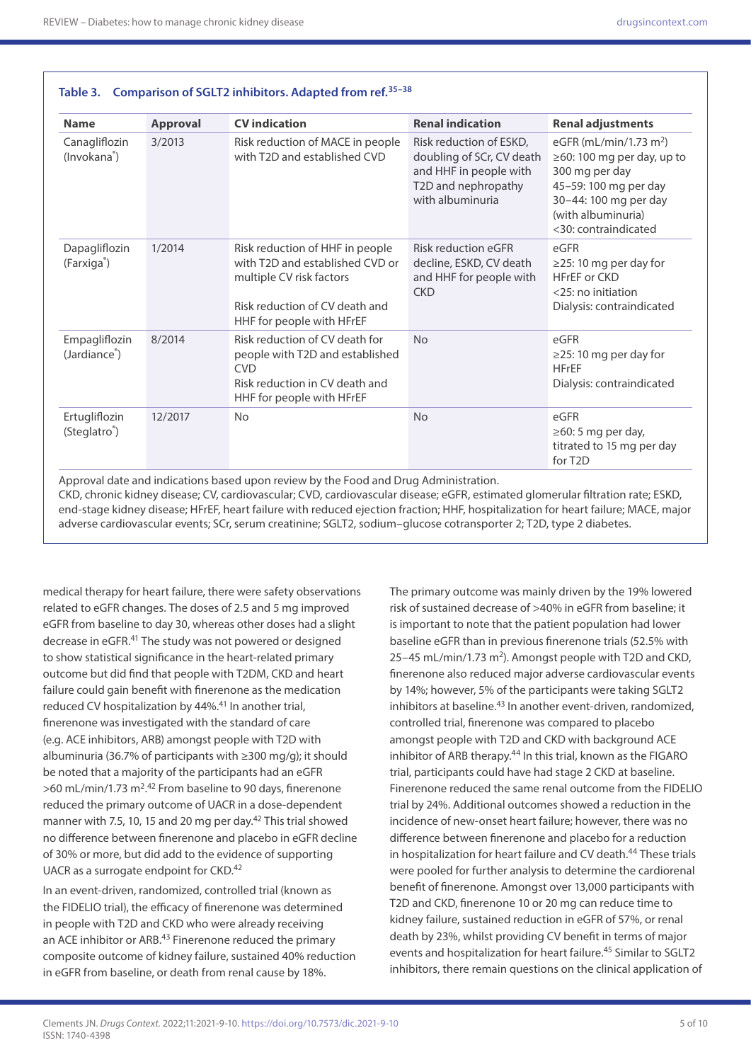| <b>Name</b>                                | <b>Approval</b> | <b>CV</b> indication                                                                                                                                          | <b>Renal indication</b>                                                                                                   | <b>Renal adjustments</b>                                                                                                                                                                 |
|--------------------------------------------|-----------------|---------------------------------------------------------------------------------------------------------------------------------------------------------------|---------------------------------------------------------------------------------------------------------------------------|------------------------------------------------------------------------------------------------------------------------------------------------------------------------------------------|
| Canagliflozin<br>(Invokana <sup>®</sup> )  | 3/2013          | Risk reduction of MACE in people<br>with T2D and established CVD                                                                                              | Risk reduction of ESKD,<br>doubling of SCr, CV death<br>and HHF in people with<br>T2D and nephropathy<br>with albuminuria | eGFR (mL/min/1.73 m <sup>2</sup> )<br>$\geq$ 60: 100 mg per day, up to<br>300 mg per day<br>45-59: 100 mg per day<br>30-44: 100 mg per day<br>(with albuminuria)<br><30: contraindicated |
| Dapagliflozin<br>(Farxiga <sup>®</sup> )   | 1/2014          | Risk reduction of HHF in people<br>with T2D and established CVD or<br>multiple CV risk factors<br>Risk reduction of CV death and<br>HHF for people with HFrEF | <b>Risk reduction eGFR</b><br>decline, ESKD, CV death<br>and HHF for people with<br><b>CKD</b>                            | eGFR<br>$\geq$ 25: 10 mg per day for<br><b>HFrEF or CKD</b><br>$<$ 25: no initiation<br>Dialysis: contraindicated                                                                        |
| Empagliflozin<br>(Jardiance <sup>®</sup> ) | 8/2014          | Risk reduction of CV death for<br>people with T2D and established<br><b>CVD</b><br>Risk reduction in CV death and<br>HHF for people with HFrEF                | <b>No</b>                                                                                                                 | eGFR<br>$\geq$ 25: 10 mg per day for<br><b>HFrEF</b><br>Dialysis: contraindicated                                                                                                        |
| Ertugliflozin<br>(Steglatro <sup>®</sup> ) | 12/2017         | <b>No</b>                                                                                                                                                     | <b>No</b>                                                                                                                 | eGFR<br>$\geq 60$ : 5 mg per day,<br>titrated to 15 mg per day<br>for T <sub>2</sub> D                                                                                                   |

**Table 3. Comparison of SGLT2 inhibitors. Adapted from ref.35–38**

CKD, chronic kidney disease; CV, cardiovascular; CVD, cardiovascular disease; eGFR, estimated glomerular filtration rate; ESKD, end-stage kidney disease; HFrEF, heart failure with reduced ejection fraction; HHF, hospitalization for heart failure; MACE, major adverse cardiovascular events; SCr, serum creatinine; SGLT2, sodium–glucose cotransporter 2; T2D, type 2 diabetes.

medical therapy for heart failure, there were safety observations related to eGFR changes. The doses of 2.5 and 5 mg improved eGFR from baseline to day 30, whereas other doses had a slight decrease in eGFR.41 The study was not powered or designed to show statistical significance in the heart-related primary outcome but did find that people with T2DM, CKD and heart failure could gain benefit with finerenone as the medication reduced CV hospitalization by 44%.<sup>41</sup> In another trial, finerenone was investigated with the standard of care (e.g. ACE inhibitors, ARB) amongst people with T2D with albuminuria (36.7% of participants with ≥300 mg/g); it should be noted that a majority of the participants had an eGFR >60 mL/min/1.73 m<sup>2</sup>.<sup>42</sup> From baseline to 90 days, finerenone reduced the primary outcome of UACR in a dose-dependent manner with 7.5, 10, 15 and 20 mg per day.<sup>42</sup> This trial showed no difference between finerenone and placebo in eGFR decline of 30% or more, but did add to the evidence of supporting UACR as a surrogate endpoint for CKD.42

In an event-driven, randomized, controlled trial (known as the FIDELIO trial), the efficacy of finerenone was determined in people with T2D and CKD who were already receiving an ACE inhibitor or ARB.<sup>43</sup> Finerenone reduced the primary composite outcome of kidney failure, sustained 40% reduction in eGFR from baseline, or death from renal cause by 18%.

The primary outcome was mainly driven by the 19% lowered risk of sustained decrease of >40% in eGFR from baseline; it is important to note that the patient population had lower baseline eGFR than in previous finerenone trials (52.5% with  $25-45$  mL/min/1.73 m<sup>2</sup>). Amongst people with T2D and CKD, finerenone also reduced major adverse cardiovascular events by 14%; however, 5% of the participants were taking SGLT2 inhibitors at baseline.<sup>43</sup> In another event-driven, randomized, controlled trial, finerenone was compared to placebo amongst people with T2D and CKD with background ACE inhibitor of ARB therapy.<sup>44</sup> In this trial, known as the FIGARO trial, participants could have had stage 2 CKD at baseline. Finerenone reduced the same renal outcome from the FIDELIO trial by 24%. Additional outcomes showed a reduction in the incidence of new-onset heart failure; however, there was no difference between finerenone and placebo for a reduction in hospitalization for heart failure and CV death.<sup>44</sup> These trials were pooled for further analysis to determine the cardiorenal benefit of finerenone. Amongst over 13,000 participants with T2D and CKD, finerenone 10 or 20 mg can reduce time to kidney failure, sustained reduction in eGFR of 57%, or renal death by 23%, whilst providing CV benefit in terms of major events and hospitalization for heart failure.<sup>45</sup> Similar to SGLT2 inhibitors, there remain questions on the clinical application of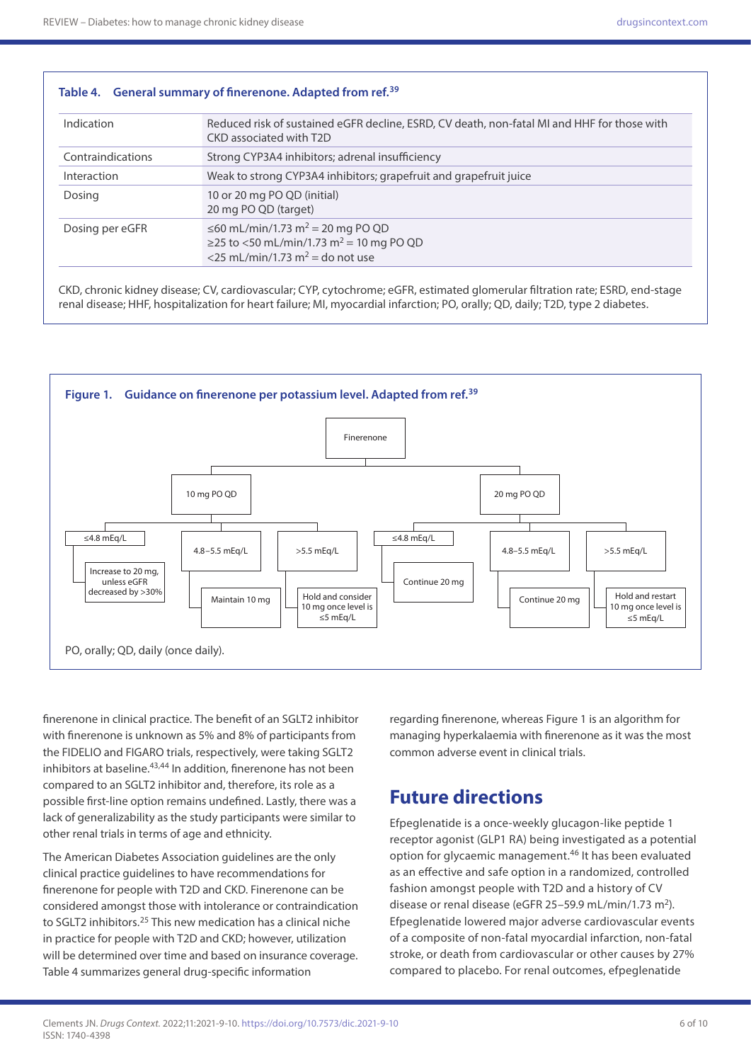| Indication        | Reduced risk of sustained eGFR decline, ESRD, CV death, non-fatal MI and HHF for those with<br>CKD associated with T2D                             |  |
|-------------------|----------------------------------------------------------------------------------------------------------------------------------------------------|--|
| Contraindications | Strong CYP3A4 inhibitors; adrenal insufficiency                                                                                                    |  |
| Interaction       | Weak to strong CYP3A4 inhibitors; grapefruit and grapefruit juice                                                                                  |  |
| Dosing            | 10 or 20 mg PO QD (initial)<br>20 mg PO QD (target)                                                                                                |  |
| Dosing per eGFR   | ≤60 mL/min/1.73 m <sup>2</sup> = 20 mg PO QD<br>≥25 to <50 mL/min/1.73 m <sup>2</sup> = 10 mg PO QD<br><25 mL/min/1.73 m <sup>2</sup> = do not use |  |

CKD, chronic kidney disease; CV, cardiovascular; CYP, cytochrome; eGFR, estimated glomerular filtration rate; ESRD, end-stage renal disease; HHF, hospitalization for heart failure; MI, myocardial infarction; PO, orally; QD, daily; T2D, type 2 diabetes.



finerenone in clinical practice. The benefit of an SGLT2 inhibitor with finerenone is unknown as 5% and 8% of participants from the FIDELIO and FIGARO trials, respectively, were taking SGLT2 inhibitors at baseline.<sup>43,44</sup> In addition, finerenone has not been compared to an SGLT2 inhibitor and, therefore, its role as a possible first-line option remains undefined. Lastly, there was a lack of generalizability as the study participants were similar to other renal trials in terms of age and ethnicity.

The American Diabetes Association guidelines are the only clinical practice guidelines to have recommendations for finerenone for people with T2D and CKD. Finerenone can be considered amongst those with intolerance or contraindication to SGLT2 inhibitors.<sup>25</sup> This new medication has a clinical niche in practice for people with T2D and CKD; however, utilization will be determined over time and based on insurance coverage. Table 4 summarizes general drug-specific information

regarding finerenone, whereas Figure 1 is an algorithm for managing hyperkalaemia with finerenone as it was the most common adverse event in clinical trials.

# **Future directions**

Efpeglenatide is a once-weekly glucagon-like peptide 1 receptor agonist (GLP1 RA) being investigated as a potential option for glycaemic management.46 It has been evaluated as an effective and safe option in a randomized, controlled fashion amongst people with T2D and a history of CV disease or renal disease (eGFR 25-59.9 mL/min/1.73 m<sup>2</sup>). Efpeglenatide lowered major adverse cardiovascular events of a composite of non-fatal myocardial infarction, non-fatal stroke, or death from cardiovascular or other causes by 27% compared to placebo. For renal outcomes, efpeglenatide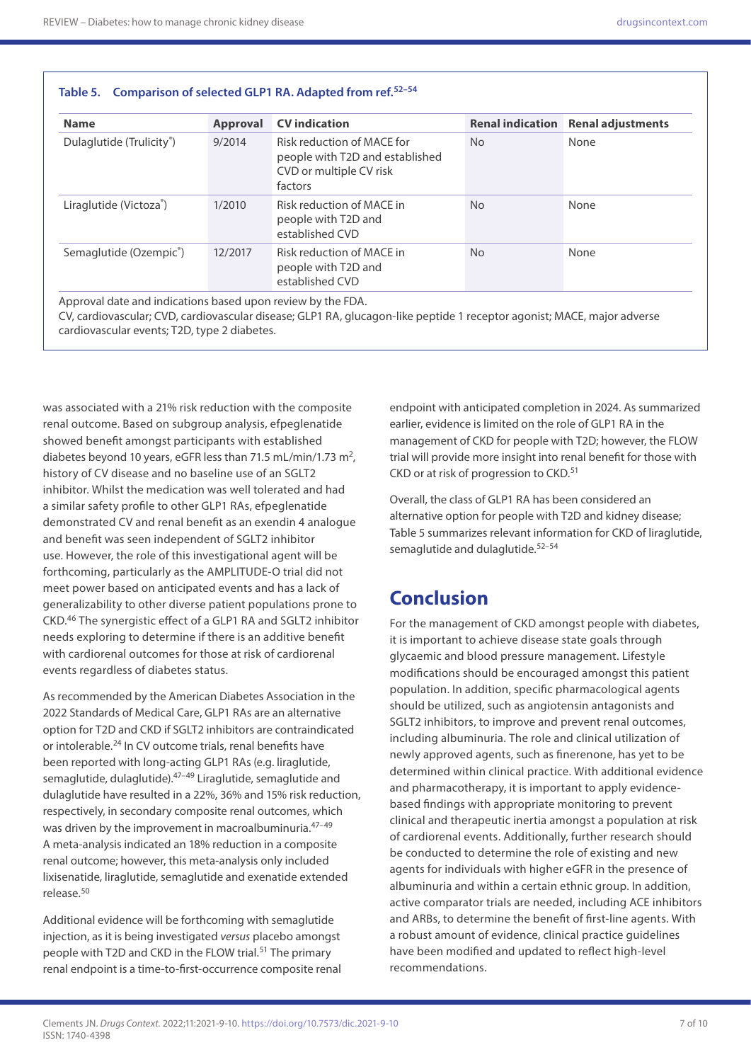| <b>Name</b>                           | <b>Approval</b> | <b>CV</b> indication                                                                                |           | <b>Renal indication</b> Renal adjustments |
|---------------------------------------|-----------------|-----------------------------------------------------------------------------------------------------|-----------|-------------------------------------------|
| Dulaglutide (Trulicity <sup>®</sup> ) | 9/2014          | Risk reduction of MACE for<br>people with T2D and established<br>CVD or multiple CV risk<br>factors | <b>No</b> | None                                      |
| Liraglutide (Victoza®)                | 1/2010          | Risk reduction of MACE in<br>people with T2D and<br>established CVD                                 | <b>No</b> | None                                      |
| Semaglutide (Ozempic®)                | 12/2017         | Risk reduction of MACE in<br>people with T2D and<br>established CVD                                 | <b>No</b> | None                                      |

CV, cardiovascular; CVD, cardiovascular disease; GLP1 RA, glucagon-like peptide 1 receptor agonist; MACE, major adverse cardiovascular events; T2D, type 2 diabetes.

was associated with a 21% risk reduction with the composite renal outcome. Based on subgroup analysis, efpeglenatide showed benefit amongst participants with established diabetes beyond 10 years, eGFR less than 71.5 mL/min/1.73 m<sup>2</sup>, history of CV disease and no baseline use of an SGLT2 inhibitor. Whilst the medication was well tolerated and had a similar safety profile to other GLP1 RAs, efpeglenatide demonstrated CV and renal benefit as an exendin 4 analogue and benefit was seen independent of SGLT2 inhibitor use. However, the role of this investigational agent will be forthcoming, particularly as the AMPLITUDE-O trial did not meet power based on anticipated events and has a lack of generalizability to other diverse patient populations prone to CKD.46 The synergistic effect of a GLP1 RA and SGLT2 inhibitor needs exploring to determine if there is an additive benefit with cardiorenal outcomes for those at risk of cardiorenal events regardless of diabetes status.

As recommended by the American Diabetes Association in the 2022 Standards of Medical Care, GLP1 RAs are an alternative option for T2D and CKD if SGLT2 inhibitors are contraindicated or intolerable.24 In CV outcome trials, renal benefits have been reported with long-acting GLP1 RAs (e.g. liraglutide, semaglutide, dulaglutide). <sup>47-49</sup> Liraglutide, semaglutide and dulaglutide have resulted in a 22%, 36% and 15% risk reduction, respectively, in secondary composite renal outcomes, which was driven by the improvement in macroalbuminuria.<sup>47-49</sup> A meta-analysis indicated an 18% reduction in a composite renal outcome; however, this meta-analysis only included lixisenatide, liraglutide, semaglutide and exenatide extended release.50

Additional evidence will be forthcoming with semaglutide injection, as it is being investigated *versus* placebo amongst people with T2D and CKD in the FLOW trial.<sup>51</sup> The primary renal endpoint is a time-to-first-occurrence composite renal

endpoint with anticipated completion in 2024. As summarized earlier, evidence is limited on the role of GLP1 RA in the management of CKD for people with T2D; however, the FLOW trial will provide more insight into renal benefit for those with CKD or at risk of progression to CKD.<sup>51</sup>

Overall, the class of GLP1 RA has been considered an alternative option for people with T2D and kidney disease; Table 5 summarizes relevant information for CKD of liraglutide, semaglutide and dulaglutide.<sup>52-54</sup>

# **Conclusion**

For the management of CKD amongst people with diabetes, it is important to achieve disease state goals through glycaemic and blood pressure management. Lifestyle modifications should be encouraged amongst this patient population. In addition, specific pharmacological agents should be utilized, such as angiotensin antagonists and SGLT2 inhibitors, to improve and prevent renal outcomes, including albuminuria. The role and clinical utilization of newly approved agents, such as finerenone, has yet to be determined within clinical practice. With additional evidence and pharmacotherapy, it is important to apply evidencebased findings with appropriate monitoring to prevent clinical and therapeutic inertia amongst a population at risk of cardiorenal events. Additionally, further research should be conducted to determine the role of existing and new agents for individuals with higher eGFR in the presence of albuminuria and within a certain ethnic group. In addition, active comparator trials are needed, including ACE inhibitors and ARBs, to determine the benefit of first-line agents. With a robust amount of evidence, clinical practice guidelines have been modified and updated to reflect high-level recommendations.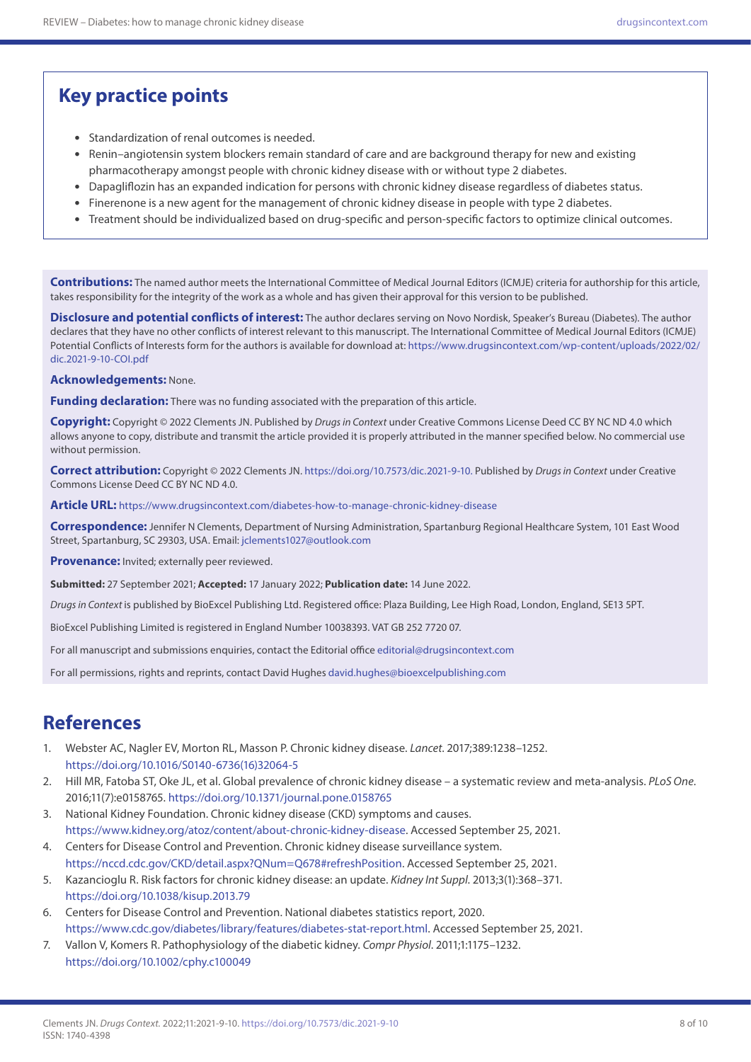# **Key practice points**

- Standardization of renal outcomes is needed.
- Renin–angiotensin system blockers remain standard of care and are background therapy for new and existing pharmacotherapy amongst people with chronic kidney disease with or without type 2 diabetes.
- Dapagliflozin has an expanded indication for persons with chronic kidney disease regardless of diabetes status.
- Finerenone is a new agent for the management of chronic kidney disease in people with type 2 diabetes.
- Treatment should be individualized based on drug-specific and person-specific factors to optimize clinical outcomes.

**Contributions:** The named author meets the International Committee of Medical Journal Editors (ICMJE) criteria for authorship for this article, takes responsibility for the integrity of the work as a whole and has given their approval for this version to be published.

**Disclosure and potential conflicts of interest:** The author declares serving on Novo Nordisk, Speaker's Bureau (Diabetes). The author declares that they have no other conflicts of interest relevant to this manuscript. The International Committee of Medical Journal Editors (ICMJE) Potential Conflicts of Interests form for the authors is available for download at: [https://www.drugsincontext.com/wp-content/uploads/2022/02/](https://www.drugsincontext.com/wp-content/uploads/2022/02/dic.2021-9-10-COI.pdf) [dic.2021-9-10-COI.pdf](https://www.drugsincontext.com/wp-content/uploads/2022/02/dic.2021-9-10-COI.pdf)

**Acknowledgements:** None.

**Funding declaration:** There was no funding associated with the preparation of this article.

**Copyright:** Copyright © 2022 Clements JN. Published by *Drugs in Context* under Creative Commons License Deed CC BY NC ND 4.0 which allows anyone to copy, distribute and transmit the article provided it is properly attributed in the manner specified below. No commercial use without permission.

**Correct attribution:** Copyright © 2022 Clements JN. <https://doi.org/10.7573/dic.2021-9-10>. Published by *Drugs in Context* under Creative Commons License Deed CC BY NC ND 4.0.

**Article URL:** <https://www.drugsincontext.com/diabetes-how-to-manage-chronic-kidney-disease>

**Correspondence:** Jennifer N Clements, Department of Nursing Administration, Spartanburg Regional Healthcare System, 101 East Wood Street, Spartanburg, SC 29303, USA. Email: [jclements1027@outlook.com](mailto:jclements1027@outlook.com)

**Provenance:** Invited; externally peer reviewed.

**Submitted:** 27 September 2021; **Accepted:** 17 January 2022; **Publication date:** 14 June 2022.

*Drugs in Context* is published by BioExcel Publishing Ltd. Registered office: Plaza Building, Lee High Road, London, England, SE13 5PT.

BioExcel Publishing Limited is registered in England Number 10038393. VAT GB 252 7720 07.

For all manuscript and submissions enquiries, contact the Editorial office [editorial@drugsincontext.com](mailto:editorial@drugsincontext.com)

For all permissions, rights and reprints, contact David Hughes [david.hughes@bioexcelpublishing.com](mailto:david.hughes@bioexcelpublishing.com)

### **References**

- 1. Webster AC, Nagler EV, Morton RL, Masson P. Chronic kidney disease. *Lancet*. 2017;389:1238–1252. [https://doi.org/10.1016/S0140-6736\(16\)32064-5](https://doi.org/10.1016/S0140-6736(16)32064-5)
- 2. Hill MR, Fatoba ST, Oke JL, et al. Global prevalence of chronic kidney disease a systematic review and meta-analysis. *PLoS One*. 2016;11(7):e0158765.<https://doi.org/10.1371/journal.pone.0158765>
- 3. National Kidney Foundation. Chronic kidney disease (CKD) symptoms and causes. [https://www.kidney.org/atoz/content/about-chronic-kidney-disease.](https://www.kidney.org/atoz/content/about-chronic-kidney-disease) Accessed September 25, 2021.
- 4. Centers for Disease Control and Prevention. Chronic kidney disease surveillance system. [https://nccd.cdc.gov/CKD/detail.aspx?QNum=Q678#refreshPosition.](https://nccd.cdc.gov/CKD/detail.aspx?QNum=Q678#refreshPosition) Accessed September 25, 2021.
- 5. Kazancioglu R. Risk factors for chronic kidney disease: an update. *Kidney Int Suppl*. 2013;3(1):368–371. <https://doi.org/10.1038/kisup.2013.79>
- 6. Centers for Disease Control and Prevention. National diabetes statistics report, 2020. <https://www.cdc.gov/diabetes/library/features/diabetes-stat-report.html>. Accessed September 25, 2021.
- 7. Vallon V, Komers R. Pathophysiology of the diabetic kidney. *Compr Physiol*. 2011;1:1175–1232. <https://doi.org/10.1002/cphy.c100049>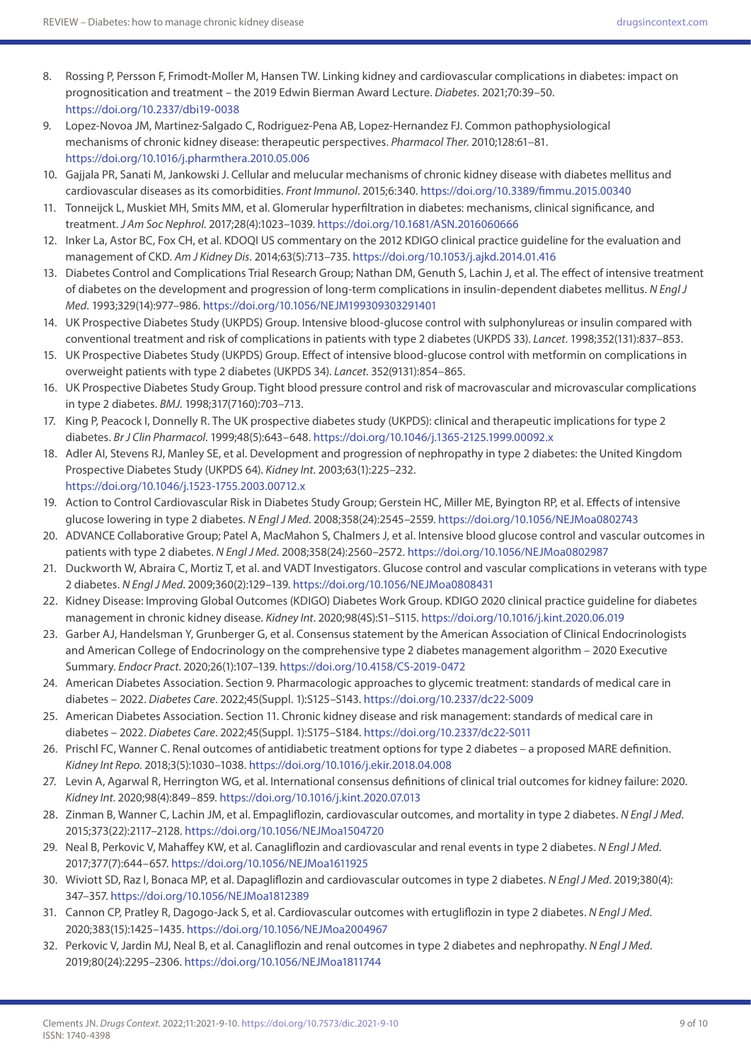- 8. Rossing P, Persson F, Frimodt-Moller M, Hansen TW. Linking kidney and cardiovascular complications in diabetes: impact on prognositication and treatment – the 2019 Edwin Bierman Award Lecture. *Diabetes*. 2021;70:39–50. <https://doi.org/10.2337/dbi19-0038>
- 9. Lopez-Novoa JM, Martinez-Salgado C, Rodriguez-Pena AB, Lopez-Hernandez FJ. Common pathophysiological mechanisms of chronic kidney disease: therapeutic perspectives. *Pharmacol Ther*. 2010;128:61–81. <https://doi.org/10.1016/j.pharmthera.2010.05.006>
- 10. Gajjala PR, Sanati M, Jankowski J. Cellular and melucular mechanisms of chronic kidney disease with diabetes mellitus and cardiovascular diseases as its comorbidities. *Front Immunol*. 2015;6:340.<https://doi.org/10.3389/fimmu.2015.00340>
- 11. Tonneijck L, Muskiet MH, Smits MM, et al. Glomerular hyperfiltration in diabetes: mechanisms, clinical significance, and treatment. *J Am Soc Nephrol*. 2017;28(4):1023–1039. <https://doi.org/10.1681/ASN.2016060666>
- 12. Inker La, Astor BC, Fox CH, et al. KDOQI US commentary on the 2012 KDIGO clinical practice guideline for the evaluation and management of CKD. *Am J Kidney Dis*. 2014;63(5):713–735. <https://doi.org/10.1053/j.ajkd.2014.01.416>
- 13. Diabetes Control and Complications Trial Research Group; Nathan DM, Genuth S, Lachin J, et al. The effect of intensive treatment of diabetes on the development and progression of long-term complications in insulin-dependent diabetes mellitus. *N Engl J Med*. 1993;329(14):977–986. <https://doi.org/10.1056/NEJM199309303291401>
- 14. UK Prospective Diabetes Study (UKPDS) Group. Intensive blood-glucose control with sulphonylureas or insulin compared with conventional treatment and risk of complications in patients with type 2 diabetes (UKPDS 33). *Lancet*. 1998;352(131):837–853.
- 15. UK Prospective Diabetes Study (UKPDS) Group. Effect of intensive blood-glucose control with metformin on complications in overweight patients with type 2 diabetes (UKPDS 34). *Lancet*. 352(9131):854–865.
- 16. UK Prospective Diabetes Study Group. Tight blood pressure control and risk of macrovascular and microvascular complications in type 2 diabetes. *BMJ*. 1998;317(7160):703–713.
- 17. King P, Peacock I, Donnelly R. The UK prospective diabetes study (UKPDS): clinical and therapeutic implications for type 2 diabetes. *Br J Clin Pharmacol*. 1999;48(5):643–648. <https://doi.org/10.1046/j.1365-2125.1999.00092.x>
- 18. Adler AI, Stevens RJ, Manley SE, et al. Development and progression of nephropathy in type 2 diabetes: the United Kingdom Prospective Diabetes Study (UKPDS 64). *Kidney Int*. 2003;63(1):225–232. <https://doi.org/10.1046/j.1523-1755.2003.00712.x>
- 19. Action to Control Cardiovascular Risk in Diabetes Study Group; Gerstein HC, Miller ME, Byington RP, et al. Effects of intensive glucose lowering in type 2 diabetes. *N Engl J Med*. 2008;358(24):2545–2559. <https://doi.org/10.1056/NEJMoa0802743>
- 20. ADVANCE Collaborative Group; Patel A, MacMahon S, Chalmers J, et al. Intensive blood glucose control and vascular outcomes in patients with type 2 diabetes. *N Engl J Med*. 2008;358(24):2560–2572.<https://doi.org/10.1056/NEJMoa0802987>
- 21. Duckworth W, Abraira C, Mortiz T, et al. and VADT Investigators. Glucose control and vascular complications in veterans with type 2 diabetes. *N Engl J Med*. 2009;360(2):129–139.<https://doi.org/10.1056/NEJMoa0808431>
- 22. Kidney Disease: Improving Global Outcomes (KDIGO) Diabetes Work Group. KDIGO 2020 clinical practice guideline for diabetes management in chronic kidney disease. *Kidney Int*. 2020;98(4S):S1–S115.<https://doi.org/10.1016/j.kint.2020.06.019>
- 23. Garber AJ, Handelsman Y, Grunberger G, et al. Consensus statement by the American Association of Clinical Endocrinologists and American College of Endocrinology on the comprehensive type 2 diabetes management algorithm – 2020 Executive Summary. *Endocr Pract*. 2020;26(1):107–139. <https://doi.org/10.4158/CS-2019-0472>
- 24. American Diabetes Association. Section 9. Pharmacologic approaches to glycemic treatment: standards of medical care in diabetes – 2022. *Diabetes Care*. 2022;45(Suppl. 1):S125–S143.<https://doi.org/10.2337/dc22-S009>
- 25. American Diabetes Association. Section 11. Chronic kidney disease and risk management: standards of medical care in diabetes – 2022. *Diabetes Care*. 2022;45(Suppl. 1):S175–S184. <https://doi.org/10.2337/dc22-S011>
- 26. Prischl FC, Wanner C. Renal outcomes of antidiabetic treatment options for type 2 diabetes a proposed MARE definition. *Kidney Int Repo*. 2018;3(5):1030–1038.<https://doi.org/10.1016/j.ekir.2018.04.008>
- 27. Levin A, Agarwal R, Herrington WG, et al. International consensus definitions of clinical trial outcomes for kidney failure: 2020. *Kidney Int*. 2020;98(4):849–859.<https://doi.org/10.1016/j.kint.2020.07.013>
- 28. Zinman B, Wanner C, Lachin JM, et al. Empagliflozin, cardiovascular outcomes, and mortality in type 2 diabetes. *N Engl J Med*. 2015;373(22):2117–2128. <https://doi.org/10.1056/NEJMoa1504720>
- 29. Neal B, Perkovic V, Mahaffey KW, et al. Canagliflozin and cardiovascular and renal events in type 2 diabetes. *N Engl J Med*. 2017;377(7):644–657. <https://doi.org/10.1056/NEJMoa1611925>
- 30. Wiviott SD, Raz I, Bonaca MP, et al. Dapagliflozin and cardiovascular outcomes in type 2 diabetes. *N Engl J Med*. 2019;380(4): 347–357. <https://doi.org/10.1056/NEJMoa1812389>
- 31. Cannon CP, Pratley R, Dagogo-Jack S, et al. Cardiovascular outcomes with ertugliflozin in type 2 diabetes. *N Engl J Med*. 2020;383(15):1425–1435.<https://doi.org/10.1056/NEJMoa2004967>
- 32. Perkovic V, Jardin MJ, Neal B, et al. Canagliflozin and renal outcomes in type 2 diabetes and nephropathy. *N Engl J Med*. 2019;80(24):2295–2306.<https://doi.org/10.1056/NEJMoa1811744>